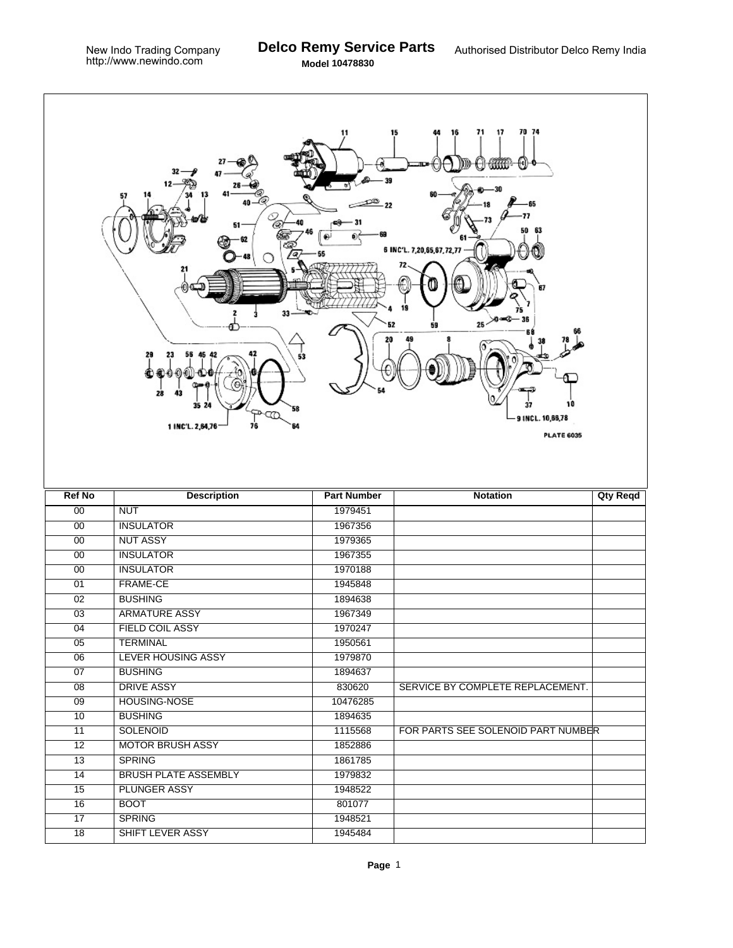T.

| 70 74<br>71<br>17<br>16<br>15<br>11<br>U HAN<br>32<br>12<br>57<br>-65<br>77<br>O,<br>51<br>50<br>63<br>6 INC'L. 7,20,65,67,72,77<br>67<br>19<br>33<br>>0 ∞€<br>25<<br>52<br>59<br>42<br>29<br>56 45<br>23<br>53<br>28<br>43<br>10<br>37<br>35 2<br>58<br><b>B</b><br>9 INCL. 10,66,78<br>1 INC'L. 2,64,76<br>76<br>64<br><b>PLATE 6035</b> |                             |                    |                                    |                 |  |  |
|--------------------------------------------------------------------------------------------------------------------------------------------------------------------------------------------------------------------------------------------------------------------------------------------------------------------------------------------|-----------------------------|--------------------|------------------------------------|-----------------|--|--|
| <b>Ref No</b>                                                                                                                                                                                                                                                                                                                              | <b>Description</b>          | <b>Part Number</b> | <b>Notation</b>                    | <b>Qty Reqd</b> |  |  |
| 00                                                                                                                                                                                                                                                                                                                                         | <b>NUT</b>                  | 1979451            |                                    |                 |  |  |
| 00                                                                                                                                                                                                                                                                                                                                         | <b>INSULATOR</b>            | 1967356            |                                    |                 |  |  |
| $\overline{00}$                                                                                                                                                                                                                                                                                                                            | <b>NUT ASSY</b>             | 1979365            |                                    |                 |  |  |
| 00                                                                                                                                                                                                                                                                                                                                         | <b>INSULATOR</b>            | 1967355            |                                    |                 |  |  |
| 00                                                                                                                                                                                                                                                                                                                                         | <b>INSULATOR</b>            | 1970188            |                                    |                 |  |  |
| 01                                                                                                                                                                                                                                                                                                                                         | <b>FRAME-CE</b>             | 1945848            |                                    |                 |  |  |
| 02                                                                                                                                                                                                                                                                                                                                         | <b>BUSHING</b>              | 1894638            |                                    |                 |  |  |
| 03                                                                                                                                                                                                                                                                                                                                         | <b>ARMATURE ASSY</b>        | 1967349            |                                    |                 |  |  |
| $\overline{04}$                                                                                                                                                                                                                                                                                                                            | <b>FIELD COIL ASSY</b>      | 1970247            |                                    |                 |  |  |
| 05                                                                                                                                                                                                                                                                                                                                         | <b>TERMINAL</b>             | 1950561            |                                    |                 |  |  |
| 06                                                                                                                                                                                                                                                                                                                                         | <b>LEVER HOUSING ASSY</b>   | 1979870            |                                    |                 |  |  |
| $\overline{07}$                                                                                                                                                                                                                                                                                                                            | <b>BUSHING</b>              | 1894637            |                                    |                 |  |  |
| 08                                                                                                                                                                                                                                                                                                                                         | <b>DRIVE ASSY</b>           | 830620             | SERVICE BY COMPLETE REPLACEMENT.   |                 |  |  |
| 09                                                                                                                                                                                                                                                                                                                                         | HOUSING-NOSE                | 10476285           |                                    |                 |  |  |
| 10                                                                                                                                                                                                                                                                                                                                         | <b>BUSHING</b>              | 1894635            |                                    |                 |  |  |
| 11                                                                                                                                                                                                                                                                                                                                         | <b>SOLENOID</b>             | 1115568            | FOR PARTS SEE SOLENOID PART NUMBER |                 |  |  |
| $\overline{12}$                                                                                                                                                                                                                                                                                                                            | <b>MOTOR BRUSH ASSY</b>     | 1852886            |                                    |                 |  |  |
| 13                                                                                                                                                                                                                                                                                                                                         | <b>SPRING</b>               | 1861785            |                                    |                 |  |  |
| 14                                                                                                                                                                                                                                                                                                                                         | <b>BRUSH PLATE ASSEMBLY</b> | 1979832            |                                    |                 |  |  |
| 15                                                                                                                                                                                                                                                                                                                                         | <b>PLUNGER ASSY</b>         | 1948522            |                                    |                 |  |  |
| 16                                                                                                                                                                                                                                                                                                                                         | <b>BOOT</b>                 | 801077             |                                    |                 |  |  |
| $\overline{17}$                                                                                                                                                                                                                                                                                                                            | <b>SPRING</b>               | 1948521            |                                    |                 |  |  |
| $\overline{18}$                                                                                                                                                                                                                                                                                                                            | SHIFT LEVER ASSY            | 1945484            |                                    |                 |  |  |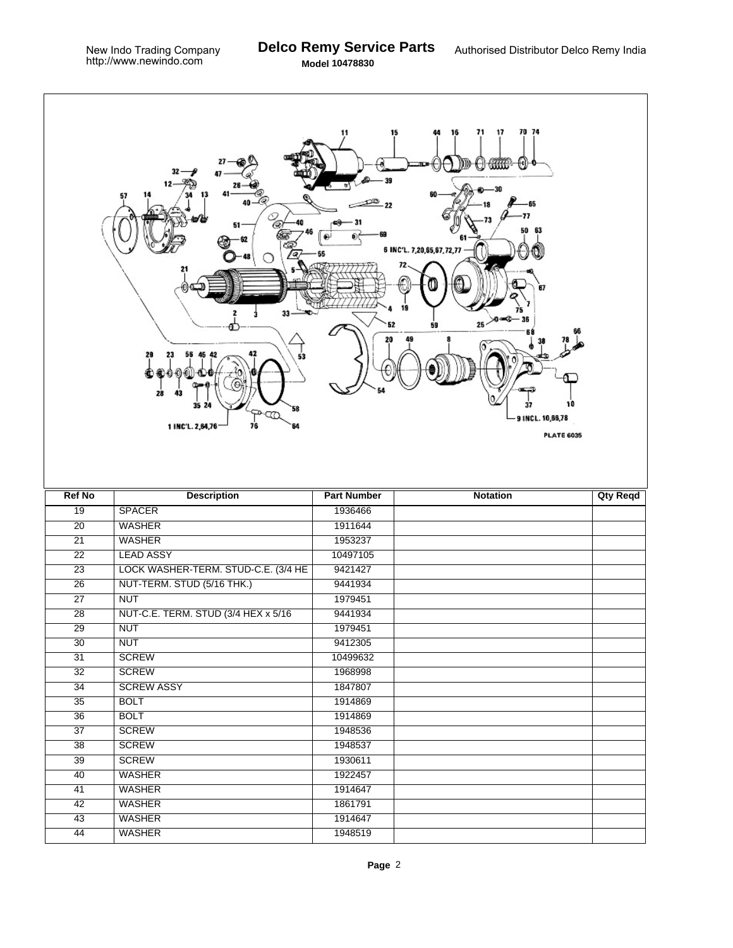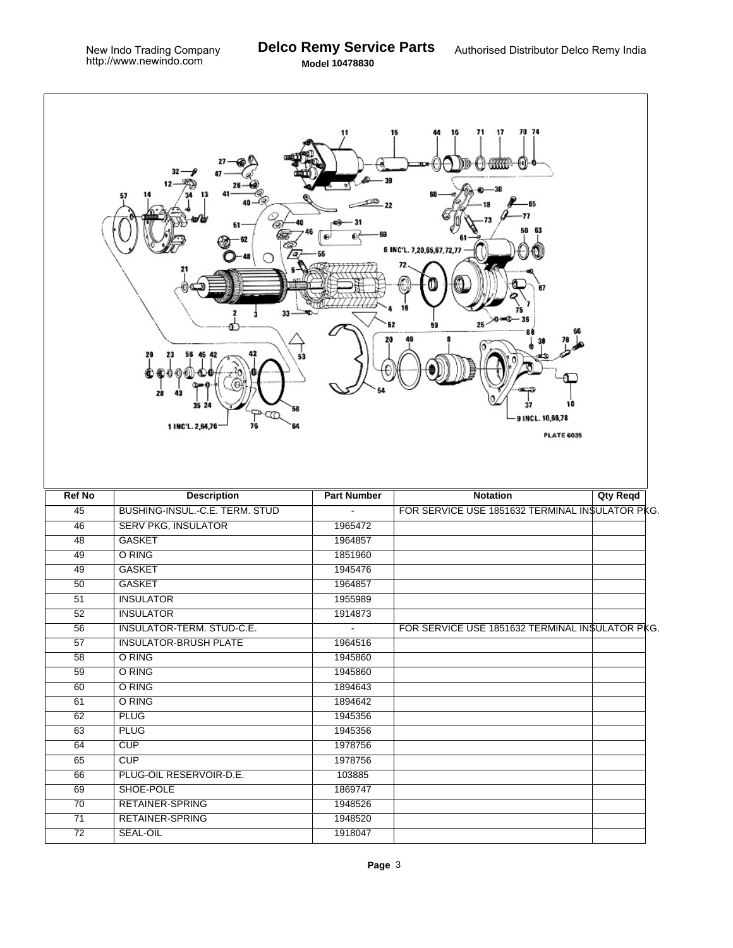$\Gamma$ 

|                 | 33<br>28<br>43<br>35 24<br>58<br>Œ<br>76<br>1 INC'L. 2,64,76<br>64 | 11                 | 70 74<br>15<br>71<br>17<br>([€]<br>4444411<br>63<br>6 INC'L. 7,20,65,67,72,77<br>67<br>20 a.C<br>$25 -$<br>59<br>37<br>9 INCL. 10,66,78 | 10<br><b>PLATE 6035</b> |
|-----------------|--------------------------------------------------------------------|--------------------|-----------------------------------------------------------------------------------------------------------------------------------------|-------------------------|
| <b>Ref No</b>   | <b>Description</b>                                                 | <b>Part Number</b> | <b>Notation</b>                                                                                                                         | <b>Qty Reqd</b>         |
| $\overline{45}$ | BUSHING-INSUL.-C.E. TERM. STUD                                     |                    | FOR SERVICE USE 1851632 TERMINAL IN\$ULATOR PKG.                                                                                        |                         |
| 46              | <b>SERV PKG, INSULATOR</b>                                         | 1965472            |                                                                                                                                         |                         |
| $\overline{48}$ | <b>GASKET</b>                                                      | 1964857            |                                                                                                                                         |                         |
| 49              | O RING                                                             | 1851960            |                                                                                                                                         |                         |
| 49              | <b>GASKET</b>                                                      | 1945476            |                                                                                                                                         |                         |
| $\overline{50}$ | <b>GASKET</b>                                                      | 1964857            |                                                                                                                                         |                         |
| 51              | <b>INSULATOR</b>                                                   | 1955989            |                                                                                                                                         |                         |
| 52              | <b>INSULATOR</b>                                                   | 1914873            |                                                                                                                                         |                         |
| $\overline{56}$ | <b>INSULATOR-TERM. STUD-C.E.</b>                                   | $\blacksquare$     | FOR SERVICE USE 1851632 TERMINAL INSULATOR PKG.                                                                                         |                         |
| $\overline{57}$ | <b>INSULATOR-BRUSH PLATE</b>                                       | 1964516            |                                                                                                                                         |                         |
| 58              | O RING                                                             | 1945860            |                                                                                                                                         |                         |
| $\overline{59}$ | O RING                                                             | 1945860            |                                                                                                                                         |                         |
| 60              | O RING                                                             | 1894643            |                                                                                                                                         |                         |
| 61              | O RING                                                             | 1894642            |                                                                                                                                         |                         |
| 62              | <b>PLUG</b>                                                        | 1945356            |                                                                                                                                         |                         |
| 63              | <b>PLUG</b>                                                        | 1945356            |                                                                                                                                         |                         |
| 64              | CUP                                                                | 1978756            |                                                                                                                                         |                         |
| 65              | CUP                                                                | 1978756            |                                                                                                                                         |                         |
| 66              | PLUG-OIL RESERVOIR-D.E.                                            | 103885             |                                                                                                                                         |                         |
| 69              | SHOE-POLE                                                          | 1869747            |                                                                                                                                         |                         |
| $\overline{70}$ | RETAINER-SPRING                                                    | 1948526            |                                                                                                                                         |                         |
| 71              | RETAINER-SPRING                                                    | 1948520            |                                                                                                                                         |                         |
| $\overline{72}$ | SEAL-OIL                                                           | 1918047            |                                                                                                                                         |                         |